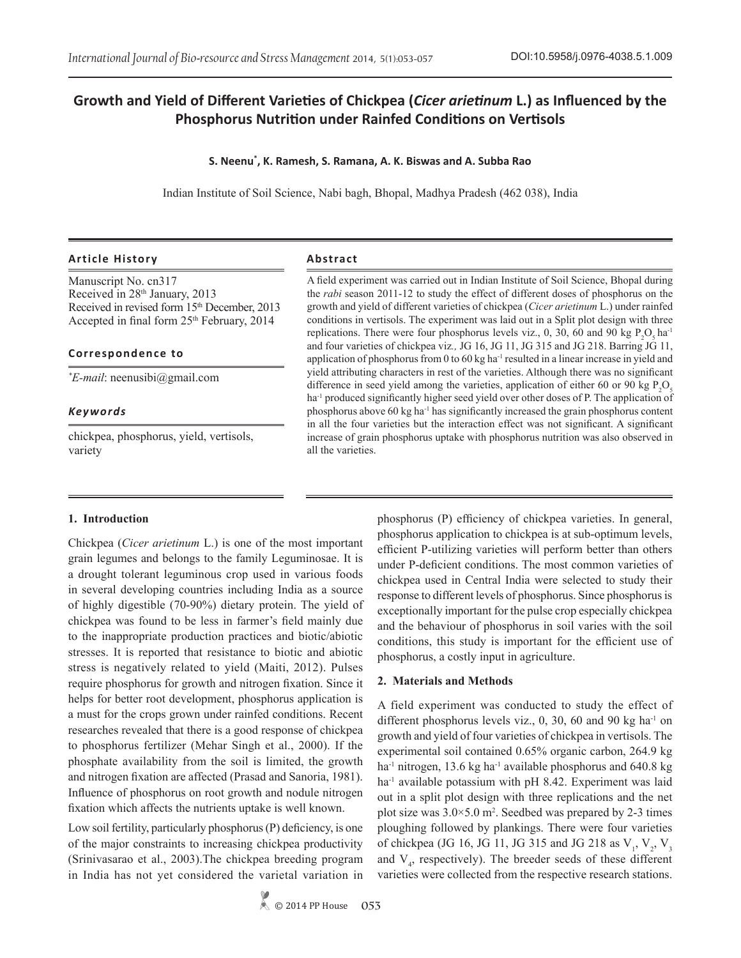# **Growth and Yield of Different Varieties of Chickpea (***Cicer arietinum* **L.) as Influenced by the Phosphorus Nutrition under Rainfed Conditions on Vertisols**

#### **S. Neenu\* , K. Ramesh, S. Ramana, A. K. Biswas and A. Subba Rao**

Indian Institute of Soil Science, Nabi bagh, Bhopal, Madhya Pradesh (462 038), India

#### **Article History Abstract**

Manuscript No. cn317 Received in 28<sup>th</sup> January, 2013 Received in revised form 15<sup>th</sup> December, 2013 Accepted in final form  $25<sup>th</sup>$  February, 2014

#### **Correspondence to**

*\* E-mail*: neenusibi@gmail.com

#### *Keywords*

chickpea, phosphorus, yield, vertisols, variety

A field experiment was carried out in Indian Institute of Soil Science, Bhopal during the *rabi* season 2011-12 to study the effect of different doses of phosphorus on the growth and yield of different varieties of chickpea (*Cicer arietinum* L.) under rainfed conditions in vertisols. The experiment was laid out in a Split plot design with three replications. There were four phosphorus levels viz., 0, 30, 60 and 90 kg  $P_2O_5$  ha<sup>-1</sup> and four varieties of chickpea viz*.,* JG 16, JG 11, JG 315 and JG 218. Barring JG 11, application of phosphorus from 0 to 60 kg ha<sup>-1</sup> resulted in a linear increase in yield and yield attributing characters in rest of the varieties. Although there was no significant difference in seed yield among the varieties, application of either 60 or 90 kg  $P_2O_5$ ha<sup>-1</sup> produced significantly higher seed yield over other doses of P. The application of phosphorus above 60 kg ha-1 has significantly increased the grain phosphorus content in all the four varieties but the interaction effect was not significant. A significant increase of grain phosphorus uptake with phosphorus nutrition was also observed in all the varieties.

#### **1. Introduction**

Chickpea (*Cicer arietinum* L.) is one of the most important grain legumes and belongs to the family Leguminosae. It is a drought tolerant leguminous crop used in various foods in several developing countries including India as a source of highly digestible (70-90%) dietary protein. The yield of chickpea was found to be less in farmer's field mainly due to the inappropriate production practices and biotic/abiotic stresses. It is reported that resistance to biotic and abiotic stress is negatively related to yield (Maiti, 2012). Pulses require phosphorus for growth and nitrogen fixation. Since it helps for better root development, phosphorus application is a must for the crops grown under rainfed conditions. Recent researches revealed that there is a good response of chickpea to phosphorus fertilizer (Mehar Singh et al., 2000). If the phosphate availability from the soil is limited, the growth and nitrogen fixation are affected (Prasad and Sanoria, 1981). Influence of phosphorus on root growth and nodule nitrogen fixation which affects the nutrients uptake is well known.

Low soil fertility, particularly phosphorus (P) deficiency, is one of the major constraints to increasing chickpea productivity (Srinivasarao et al., 2003).The chickpea breeding program in India has not yet considered the varietal variation in

© 2014 PP House **053**

phosphorus (P) efficiency of chickpea varieties. In general, phosphorus application to chickpea is at sub-optimum levels, efficient P-utilizing varieties will perform better than others under P-deficient conditions. The most common varieties of chickpea used in Central India were selected to study their response to different levels of phosphorus. Since phosphorus is exceptionally important for the pulse crop especially chickpea and the behaviour of phosphorus in soil varies with the soil conditions, this study is important for the efficient use of phosphorus, a costly input in agriculture.

#### **2. Materials and Methods**

A field experiment was conducted to study the effect of different phosphorus levels viz., 0, 30, 60 and 90 kg ha<sup>-1</sup> on growth and yield of four varieties of chickpea in vertisols. The experimental soil contained 0.65% organic carbon, 264.9 kg ha<sup>-1</sup> nitrogen, 13.6 kg ha<sup>-1</sup> available phosphorus and 640.8 kg  $ha<sup>-1</sup>$  available potassium with pH 8.42. Experiment was laid out in a split plot design with three replications and the net plot size was  $3.0 \times 5.0$  m<sup>2</sup>. Seedbed was prepared by 2-3 times ploughing followed by plankings. There were four varieties of chickpea (JG 16, JG 11, JG 315 and JG 218 as  $V_1$ ,  $V_2$ ,  $V_3$ and  $V<sub>4</sub>$ , respectively). The breeder seeds of these different varieties were collected from the respective research stations.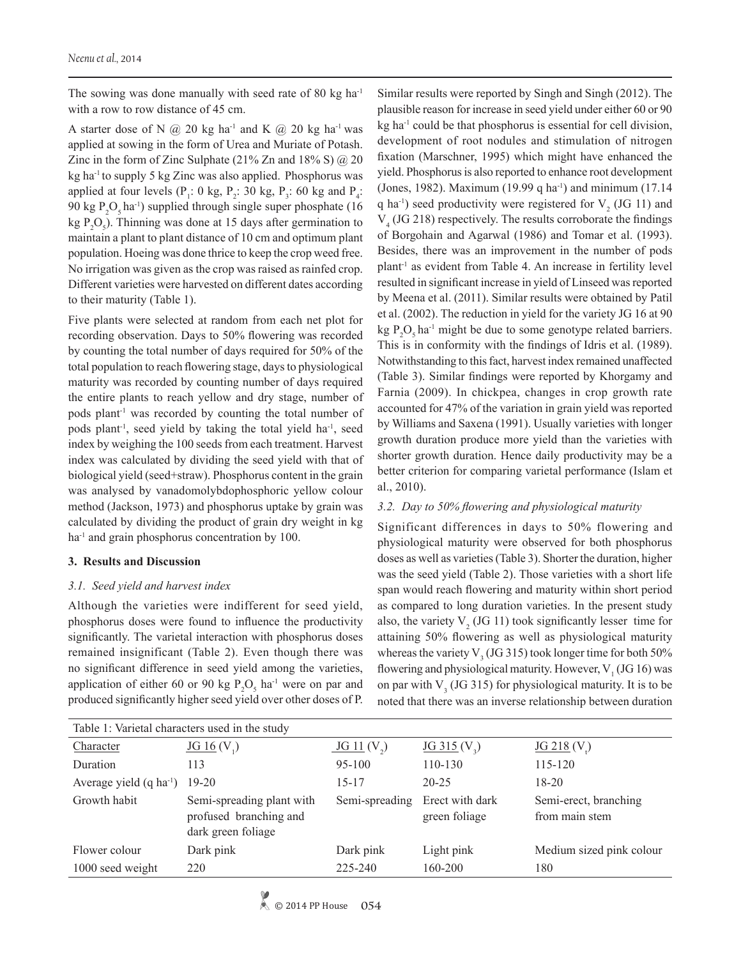The sowing was done manually with seed rate of 80 kg ha<sup>-1</sup> with a row to row distance of 45 cm.

A starter dose of N  $(a)$  20 kg ha<sup>-1</sup> and K  $(a)$  20 kg ha<sup>-1</sup> was applied at sowing in the form of Urea and Muriate of Potash. Zinc in the form of Zinc Sulphate (21% Zn and 18% S)  $\omega$  20 kg ha<sup>-1</sup> to supply 5 kg Zinc was also applied. Phosphorus was applied at four levels ( $P_1$ : 0 kg,  $P_2$ : 30 kg,  $P_3$ : 60 kg and  $P_4$ : 90 kg  $P_2O_5$  ha<sup>-1</sup>) supplied through single super phosphate (16 kg  $P_2O_5$ ). Thinning was done at 15 days after germination to maintain a plant to plant distance of 10 cm and optimum plant population. Hoeing was done thrice to keep the crop weed free. No irrigation was given as the crop was raised as rainfed crop. Different varieties were harvested on different dates according to their maturity (Table 1).

Five plants were selected at random from each net plot for recording observation. Days to 50% flowering was recorded by counting the total number of days required for 50% of the total population to reach flowering stage, days to physiological maturity was recorded by counting number of days required the entire plants to reach yellow and dry stage, number of pods plant<sup>-1</sup> was recorded by counting the total number of pods plant<sup>-1</sup>, seed yield by taking the total yield ha<sup>-1</sup>, seed index by weighing the 100 seeds from each treatment. Harvest index was calculated by dividing the seed yield with that of biological yield (seed+straw). Phosphorus content in the grain was analysed by vanadomolybdophosphoric yellow colour method (Jackson, 1973) and phosphorus uptake by grain was calculated by dividing the product of grain dry weight in kg ha<sup>-1</sup> and grain phosphorus concentration by 100.

#### **3. Results and Discussion**

#### *3.1. Seed yield and harvest index*

Although the varieties were indifferent for seed yield, phosphorus doses were found to influence the productivity significantly. The varietal interaction with phosphorus doses remained insignificant (Table 2). Even though there was no significant difference in seed yield among the varieties, application of either 60 or 90 kg  $P_2O_5$  ha<sup>-1</sup> were on par and produced significantly higher seed yield over other doses of P.

Similar results were reported by Singh and Singh (2012). The plausible reason for increase in seed yield under either 60 or 90 kg ha<sup>-1</sup> could be that phosphorus is essential for cell division, development of root nodules and stimulation of nitrogen fixation (Marschner, 1995) which might have enhanced the yield. Phosphorus is also reported to enhance root development (Jones, 1982). Maximum (19.99 q ha-1) and minimum (17.14 q ha<sup>-1</sup>) seed productivity were registered for  $V_2$  (JG 11) and V4 (JG 218) respectively. The results corroborate the findings of Borgohain and Agarwal (1986) and Tomar et al. (1993). Besides, there was an improvement in the number of pods plant<sup>1</sup> as evident from Table 4. An increase in fertility level resulted in significant increase in yield of Linseed was reported by Meena et al. (2011). Similar results were obtained by Patil et al. (2002). The reduction in yield for the variety JG 16 at 90  $kg \, P_2 O_5$  ha<sup>-1</sup> might be due to some genotype related barriers. This is in conformity with the findings of Idris et al. (1989). Notwithstanding to this fact, harvest index remained unaffected (Table 3). Similar findings were reported by Khorgamy and Farnia (2009). In chickpea, changes in crop growth rate accounted for 47% of the variation in grain yield was reported by Williams and Saxena (1991). Usually varieties with longer growth duration produce more yield than the varieties with shorter growth duration. Hence daily productivity may be a better criterion for comparing varietal performance (Islam et al., 2010).

#### *3.2. Day to 50% flowering and physiological maturity*

Significant differences in days to 50% flowering and physiological maturity were observed for both phosphorus doses as well as varieties (Table 3). Shorter the duration, higher was the seed yield (Table 2). Those varieties with a short life span would reach flowering and maturity within short period as compared to long duration varieties. In the present study also, the variety  $V_2$  (JG 11) took significantly lesser time for attaining 50% flowering as well as physiological maturity whereas the variety  $V_3$  (JG 315) took longer time for both 50% flowering and physiological maturity. However,  $V_1$  (JG 16) was on par with  $V_3$  (JG 315) for physiological maturity. It is to be noted that there was an inverse relationship between duration

| Table 1: Varietal characters used in the study |                                                                           |                 |                                  |                                         |  |  |  |  |  |
|------------------------------------------------|---------------------------------------------------------------------------|-----------------|----------------------------------|-----------------------------------------|--|--|--|--|--|
| Character                                      | $JG_16(V_1)$                                                              | $JG$ 11 $(V_2)$ | $JG$ 315 (V <sub>3</sub> )       | $JG$ 218 (V)                            |  |  |  |  |  |
| Duration                                       | 113                                                                       | $95 - 100$      | $110 - 130$                      | 115-120                                 |  |  |  |  |  |
| Average yield $(q \text{ ha}^{-1})$            | $19-20$                                                                   | $15 - 17$       | $20 - 25$                        | $18 - 20$                               |  |  |  |  |  |
| Growth habit                                   | Semi-spreading plant with<br>profused branching and<br>dark green foliage | Semi-spreading  | Erect with dark<br>green foliage | Semi-erect, branching<br>from main stem |  |  |  |  |  |
| Flower colour                                  | Dark pink                                                                 | Dark pink       | Light pink                       | Medium sized pink colour                |  |  |  |  |  |
| 1000 seed weight                               | 220                                                                       | 225-240         | 160-200                          | 180                                     |  |  |  |  |  |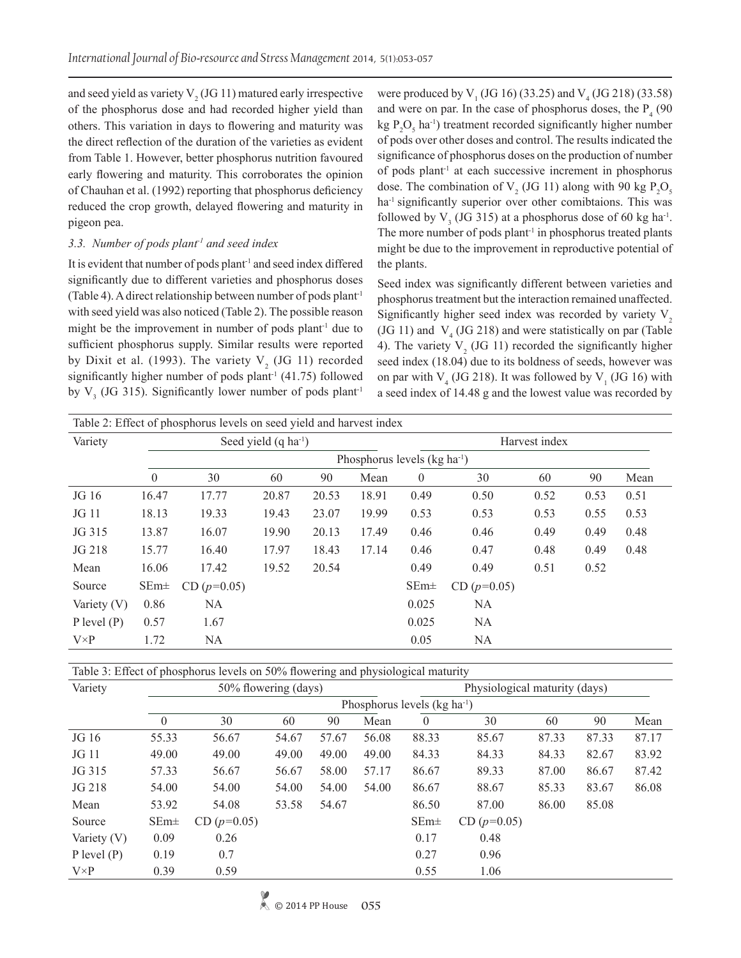and seed yield as variety  $V_2$  (JG 11) matured early irrespective of the phosphorus dose and had recorded higher yield than others. This variation in days to flowering and maturity was the direct reflection of the duration of the varieties as evident from Table 1. However, better phosphorus nutrition favoured early flowering and maturity. This corroborates the opinion of Chauhan et al. (1992) reporting that phosphorus deficiency reduced the crop growth, delayed flowering and maturity in pigeon pea.

### *3.3. Number of pods plant-1 and seed index*

It is evident that number of pods plant<sup>1</sup> and seed index differed significantly due to different varieties and phosphorus doses (Table 4). A direct relationship between number of pods plant<sup>-1</sup> with seed yield was also noticed (Table 2). The possible reason might be the improvement in number of pods plant<sup>-1</sup> due to sufficient phosphorus supply. Similar results were reported by Dixit et al. (1993). The variety  $V<sub>2</sub>$  (JG 11) recorded significantly higher number of pods plant<sup>-1</sup> (41.75) followed by  $V_3$  (JG 315). Significantly lower number of pods plant<sup>-1</sup>

were produced by  $V_1$  (JG 16) (33.25) and  $V_4$  (JG 218) (33.58) and were on par. In the case of phosphorus doses, the  $P_4$  (90  $kg \, P_2O_5$  ha<sup>-1</sup>) treatment recorded significantly higher number of pods over other doses and control. The results indicated the significance of phosphorus doses on the production of number of pods plant-1 at each successive increment in phosphorus dose. The combination of  $V_2$  (JG 11) along with 90 kg  $P_2O_5$ ha<sup>-1</sup> significantly superior over other comibtaions. This was followed by  $V_3$  (JG 315) at a phosphorus dose of 60 kg ha<sup>-1</sup>. The more number of pods plant<sup>-1</sup> in phosphorus treated plants might be due to the improvement in reproductive potential of the plants.

Seed index was significantly different between varieties and phosphorus treatment but the interaction remained unaffected. Significantly higher seed index was recorded by variety  $V<sub>2</sub>$ (JG 11) and  $V_4$  (JG 218) and were statistically on par (Table 4). The variety  $V_2$  (JG 11) recorded the significantly higher seed index (18.04) due to its boldness of seeds, however was on par with  $V_4$  (JG 218). It was followed by  $V_1$  (JG 16) with a seed index of 14.48 g and the lowest value was recorded by

| Table 2: Effect of phosphorus levels on seed yield and harvest index |                                          |               |       |       |       |          |               |      |      |      |  |  |
|----------------------------------------------------------------------|------------------------------------------|---------------|-------|-------|-------|----------|---------------|------|------|------|--|--|
| Variety                                                              | Seed yield $(q \text{ ha}^{-1})$         |               |       |       |       |          | Harvest index |      |      |      |  |  |
|                                                                      | Phosphorus levels (kg ha <sup>-1</sup> ) |               |       |       |       |          |               |      |      |      |  |  |
|                                                                      | $\theta$                                 | 30            | 60    | 90    | Mean  | $\theta$ | 30            | 60   | 90   | Mean |  |  |
| JG 16                                                                | 16.47                                    | 17.77         | 20.87 | 20.53 | 18.91 | 0.49     | 0.50          | 0.52 | 0.53 | 0.51 |  |  |
| JG 11                                                                | 18.13                                    | 19.33         | 19.43 | 23.07 | 19.99 | 0.53     | 0.53          | 0.53 | 0.55 | 0.53 |  |  |
| JG 315                                                               | 13.87                                    | 16.07         | 19.90 | 20.13 | 17.49 | 0.46     | 0.46          | 0.49 | 0.49 | 0.48 |  |  |
| JG 218                                                               | 15.77                                    | 16.40         | 17.97 | 18.43 | 17.14 | 0.46     | 0.47          | 0.48 | 0.49 | 0.48 |  |  |
| Mean                                                                 | 16.06                                    | 17.42         | 19.52 | 20.54 |       | 0.49     | 0.49          | 0.51 | 0.52 |      |  |  |
| Source                                                               | $SEm\pm$                                 | CD $(p=0.05)$ |       |       |       | $SEm\pm$ | CD $(p=0.05)$ |      |      |      |  |  |
| Variety (V)                                                          | 0.86                                     | NA            |       |       |       | 0.025    | <b>NA</b>     |      |      |      |  |  |
| $P$ level $(P)$                                                      | 0.57                                     | 1.67          |       |       |       | 0.025    | <b>NA</b>     |      |      |      |  |  |
| $V \times P$                                                         | 1.72                                     | NA            |       |       |       | 0.05     | NA            |      |      |      |  |  |

Table 3: Effect of phosphorus levels on 50% flowering and physiological maturity

| Variety                       | 50% flowering (days) |               |       |       |       |          | Physiological maturity (days) |       |       |       |  |  |
|-------------------------------|----------------------|---------------|-------|-------|-------|----------|-------------------------------|-------|-------|-------|--|--|
| Phosphorus levels $(kg ha-1)$ |                      |               |       |       |       |          |                               |       |       |       |  |  |
|                               | $\Omega$             | 30            | 60    | 90    | Mean  | $\theta$ | 30                            | 60    | 90    | Mean  |  |  |
| JG 16                         | 55.33                | 56.67         | 54.67 | 57.67 | 56.08 | 88.33    | 85.67                         | 87.33 | 87.33 | 87.17 |  |  |
| JG 11                         | 49.00                | 49.00         | 49.00 | 49.00 | 49.00 | 84.33    | 84.33                         | 84.33 | 82.67 | 83.92 |  |  |
| JG 315                        | 57.33                | 56.67         | 56.67 | 58.00 | 57.17 | 86.67    | 89.33                         | 87.00 | 86.67 | 87.42 |  |  |
| JG 218                        | 54.00                | 54.00         | 54.00 | 54.00 | 54.00 | 86.67    | 88.67                         | 85.33 | 83.67 | 86.08 |  |  |
| Mean                          | 53.92                | 54.08         | 53.58 | 54.67 |       | 86.50    | 87.00                         | 86.00 | 85.08 |       |  |  |
| Source                        | $SEm\pm$             | $CD (p=0.05)$ |       |       |       | $SEm+$   | CD $(p=0.05)$                 |       |       |       |  |  |
| Variety $(V)$                 | 0.09                 | 0.26          |       |       |       | 0.17     | 0.48                          |       |       |       |  |  |
| $P$ level $(P)$               | 0.19                 | 0.7           |       |       |       | 0.27     | 0.96                          |       |       |       |  |  |
| $V \times P$                  | 0.39                 | 0.59          |       |       |       | 0.55     | 1.06                          |       |       |       |  |  |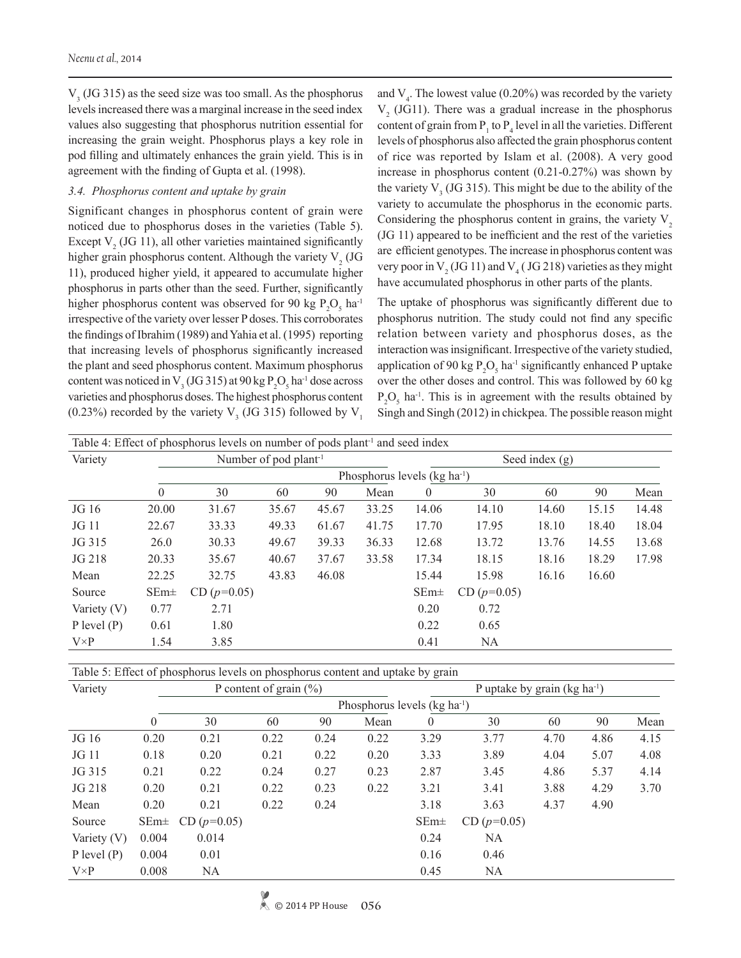*Neenu et al.,* 2014

 $V<sub>3</sub>$  (JG 315) as the seed size was too small. As the phosphorus levels increased there was a marginal increase in the seed index values also suggesting that phosphorus nutrition essential for increasing the grain weight. Phosphorus plays a key role in pod filling and ultimately enhances the grain yield. This is in agreement with the finding of Gupta et al. (1998).

#### *3.4. Phosphorus content and uptake by grain*

Significant changes in phosphorus content of grain were noticed due to phosphorus doses in the varieties (Table 5). Except  $V_2$  (JG 11), all other varieties maintained significantly higher grain phosphorus content. Although the variety  $V_2$  (JG 11), produced higher yield, it appeared to accumulate higher phosphorus in parts other than the seed. Further, significantly higher phosphorus content was observed for 90 kg  $P_2O_5$  ha<sup>-1</sup> irrespective of the variety over lesser P doses. This corroborates the findings of Ibrahim (1989) and Yahia et al. (1995) reporting that increasing levels of phosphorus significantly increased the plant and seed phosphorus content. Maximum phosphorus content was noticed in  $V_3$  (JG 315) at 90 kg  $P_2O_5$  ha<sup>-1</sup> dose across varieties and phosphorus doses. The highest phosphorus content (0.23%) recorded by the variety  $V_3$  (JG 315) followed by  $V_1$ 

and  $V_4$ . The lowest value (0.20%) was recorded by the variety  $V<sub>2</sub>$  (JG11). There was a gradual increase in the phosphorus content of grain from  $P_1$  to  $P_4$  level in all the varieties. Different levels of phosphorus also affected the grain phosphorus content of rice was reported by Islam et al. (2008). A very good increase in phosphorus content (0.21-0.27%) was shown by the variety  $V_3$  (JG 315). This might be due to the ability of the variety to accumulate the phosphorus in the economic parts. Considering the phosphorus content in grains, the variety  $V$ , (JG 11) appeared to be inefficient and the rest of the varieties are efficient genotypes. The increase in phosphorus content was very poor in  $V_2$  (JG 11) and  $V_4$  (JG 218) varieties as they might have accumulated phosphorus in other parts of the plants.

The uptake of phosphorus was significantly different due to phosphorus nutrition. The study could not find any specific relation between variety and phosphorus doses, as the interaction was insignificant. Irrespective of the variety studied, application of 90 kg  $P_2O_5$  ha<sup>-1</sup> significantly enhanced P uptake over the other doses and control. This was followed by 60 kg  $P_2O_5$  ha<sup>-1</sup>. This is in agreement with the results obtained by Singh and Singh (2012) in chickpea. The possible reason might

| Table 4: Effect of phosphorus levels on number of pods plant <sup>-1</sup> and seed index |          |                                   |       |       |       |                  |               |       |       |       |  |
|-------------------------------------------------------------------------------------------|----------|-----------------------------------|-------|-------|-------|------------------|---------------|-------|-------|-------|--|
| Variety                                                                                   |          | Number of pod plant <sup>-1</sup> |       |       |       | Seed index $(g)$ |               |       |       |       |  |
|                                                                                           |          | Phosphorus levels $(kg ha-1)$     |       |       |       |                  |               |       |       |       |  |
|                                                                                           | $\theta$ | 30                                | 60    | 90    | Mean  | $\overline{0}$   | 30            | 60    | 90    | Mean  |  |
| JG 16                                                                                     | 20.00    | 31.67                             | 35.67 | 45.67 | 33.25 | 14.06            | 14.10         | 14.60 | 15.15 | 14.48 |  |
| JG 11                                                                                     | 22.67    | 33.33                             | 49.33 | 61.67 | 41.75 | 17.70            | 17.95         | 18.10 | 18.40 | 18.04 |  |
| JG 315                                                                                    | 26.0     | 30.33                             | 49.67 | 39.33 | 36.33 | 12.68            | 13.72         | 13.76 | 14.55 | 13.68 |  |
| JG 218                                                                                    | 20.33    | 35.67                             | 40.67 | 37.67 | 33.58 | 17.34            | 18.15         | 18.16 | 18.29 | 17.98 |  |
| Mean                                                                                      | 22.25    | 32.75                             | 43.83 | 46.08 |       | 15.44            | 15.98         | 16.16 | 16.60 |       |  |
| Source                                                                                    | $SEm\pm$ | CD $(p=0.05)$                     |       |       |       | $SEm\pm$         | CD $(p=0.05)$ |       |       |       |  |
| Variety $(V)$                                                                             | 0.77     | 2.71                              |       |       |       | 0.20             | 0.72          |       |       |       |  |
| $P$ level $(P)$                                                                           | 0.61     | 1.80                              |       |       |       | 0.22             | 0.65          |       |       |       |  |
| $V \times P$                                                                              | 1.54     | 3.85                              |       |       |       | 0.41             | NA            |       |       |       |  |

Table 5: Effect of phosphorus levels on phosphorus content and uptake by grain

| Variety         |                               |               | P content of grain $(\% )$ |      |      | P uptake by grain (kg ha <sup>-1</sup> ) |               |      |      |      |  |
|-----------------|-------------------------------|---------------|----------------------------|------|------|------------------------------------------|---------------|------|------|------|--|
|                 | Phosphorus levels $(kg ha-1)$ |               |                            |      |      |                                          |               |      |      |      |  |
|                 | $\theta$                      | 30            | 60                         | 90   | Mean | $\theta$                                 | 30            | 60   | 90   | Mean |  |
| JG 16           | 0.20                          | 0.21          | 0.22                       | 0.24 | 0.22 | 3.29                                     | 3.77          | 4.70 | 4.86 | 4.15 |  |
| JG 11           | 0.18                          | 0.20          | 0.21                       | 0.22 | 0.20 | 3.33                                     | 3.89          | 4.04 | 5.07 | 4.08 |  |
| JG 315          | 0.21                          | 0.22          | 0.24                       | 0.27 | 0.23 | 2.87                                     | 3.45          | 4.86 | 5.37 | 4.14 |  |
| JG 218          | 0.20                          | 0.21          | 0.22                       | 0.23 | 0.22 | 3.21                                     | 3.41          | 3.88 | 4.29 | 3.70 |  |
| Mean            | 0.20                          | 0.21          | 0.22                       | 0.24 |      | 3.18                                     | 3.63          | 4.37 | 4.90 |      |  |
| Source          | $SEm\pm$                      | $CD (p=0.05)$ |                            |      |      | $SEm\pm$                                 | $CD (p=0.05)$ |      |      |      |  |
| Variety $(V)$   | 0.004                         | 0.014         |                            |      |      | 0.24                                     | <b>NA</b>     |      |      |      |  |
| $P$ level $(P)$ | 0.004                         | 0.01          |                            |      |      | 0.16                                     | 0.46          |      |      |      |  |
| $V \times P$    | 0.008                         | NA            |                            |      |      | 0.45                                     | <b>NA</b>     |      |      |      |  |